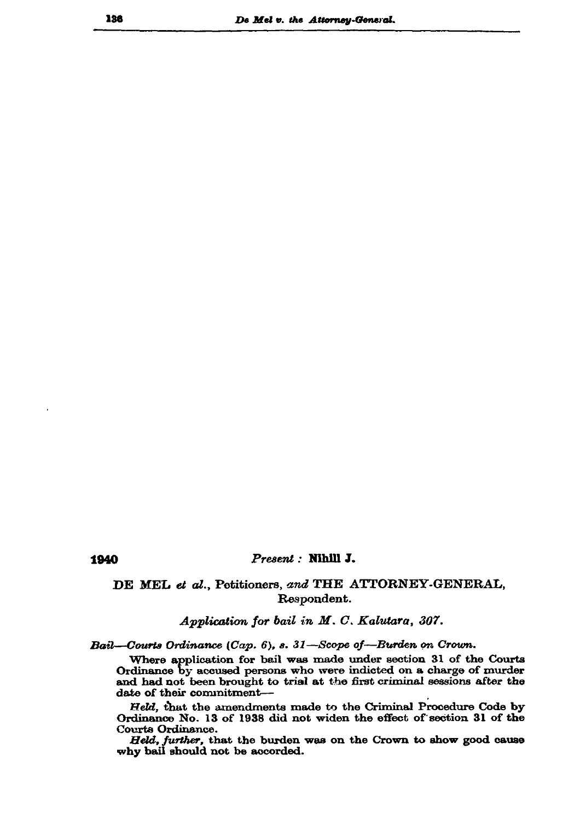#### 1940

### Present : Nihill J.

# DE MEL et al., Petitioners, and THE ATTORNEY-GENERAL, Respondent.

## Application for bail in M. C. Kalutara, 307.

### Bail-Courts Ordinance (Cap. 6), s. 31-Scope of-Burden on Crown.

Where application for bail was made under section 31 of the Courts Ordinance by accused persons who were indicted on a charge of murder and had not been brought to trial at the first criminal sessions after the date of their commitment-

Held, that the amendments made to the Criminal Procedure Code by Ordinance No. 13 of 1938 did not widen the effect of section 31 of the Courts Ordinance.

Held, further, that the burden was on the Crown to show good cause why bail should not be accorded.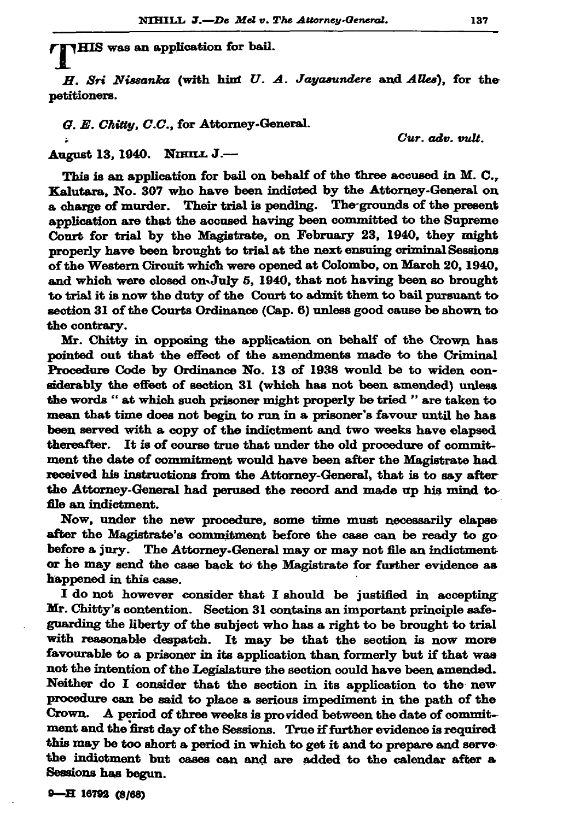TIHIS was an application for bail.

 $H.$  Sri Nissanka (with him  $U.$  A. Jayasundere and Alles), for the petitioners.

G. E. Chitty, C.C., for Attorney-General.

Cur. adv. vult.

August 13, 1940. NIHILL J.-

This is an application for bail on behalf of the three accused in M. C.. Kalutara, No. 307 who have been indicted by the Attorney-General on a charge of murder. Their trial is pending. The grounds of the present application are that the accused having been committed to the Supreme Court for trial by the Magistrate, on February 23, 1940, they might properly have been brought to trial at the next ensuing criminal Sessions of the Western Circuit which were opened at Colombo, on March 20, 1940. and which were closed on July 5, 1940, that not having been so brought to trial it is now the duty of the Court to admit them to bail pursuant to section 31 of the Courts Ordinance (Cap. 6) unless good cause be shown to the contrary.

Mr. Chitty in opposing the application on behalf of the Crown has pointed out that the effect of the amendments made to the Criminal Procedure Code by Ordinance No. 13 of 1938 would be to widen considerably the effect of section 31 (which has not been amended) unless the words " at which such prisoner might properly be tried " are taken to mean that time does not begin to run in a prisoner's favour until he has been served with a copy of the indictment and two weeks have elapsed thereafter. It is of course true that under the old procedure of commitment the date of commitment would have been after the Magistrate had received his instructions from the Attorney-General, that is to say after the Attorney-General had perused the record and made up his mind tofile an indictment.

Now, under the new procedure, some time must necessarily elapse after the Magistrate's commitment before the case can be ready to go before a jury. The Attorney-General may or may not file an indictment or he may send the case back to the Magistrate for further evidence as happened in this case.

I do not however consider that I should be justified in accepting Mr. Chitty's contention. Section 31 contains an important principle safeguarding the liberty of the subject who has a right to be brought to trial with reasonable despatch. It may be that the section is now more favourable to a prisoner in its application than formerly but if that was not the intention of the Legislature the section could have been amended. Neither do I consider that the section in its application to the new procedure can be said to place a serious impediment in the path of the Crown. A period of three weeks is provided between the date of commitment and the first day of the Sessions. True if further evidence is required this may be too short a period in which to get it and to prepare and servethe indictment but cases can and are added to the calendar after a Sessions has begun.

 $9 - H$  16792 (8/68)